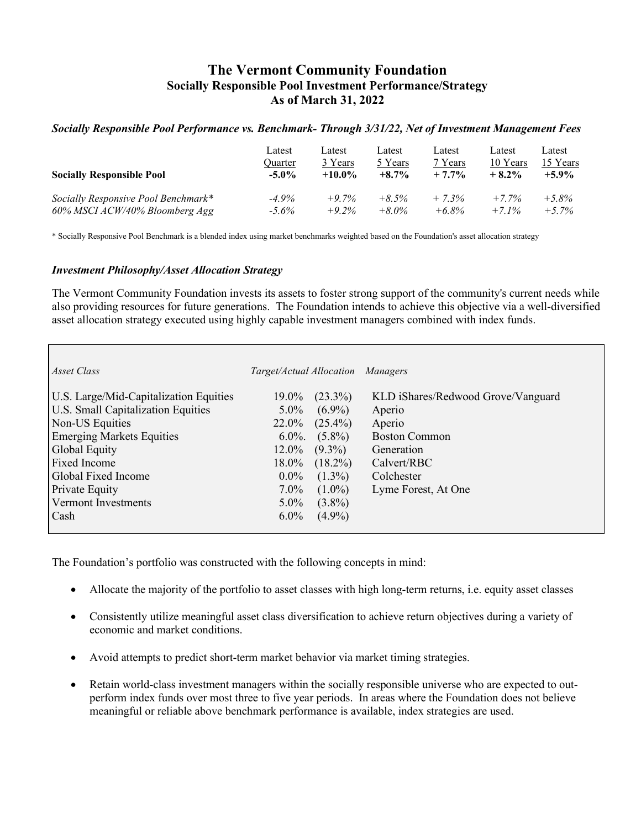# **The Vermont Community Foundation Socially Responsible Pool Investment Performance/Strategy As of March 31, 2022**

### *Socially Responsible Pool Performance vs. Benchmark- Through 3/31/22, Net of Investment Management Fees*

| <b>Socially Responsible Pool</b>    | Latest   | Latest    | Latest   | Latest   | Latest   | Latest   |
|-------------------------------------|----------|-----------|----------|----------|----------|----------|
|                                     | Ouarter  | 3 Years   | 5 Years  | 7 Years  | 10 Years | 15 Years |
|                                     | $-5.0\%$ | $+10.0\%$ | $+8.7\%$ | $+7.7%$  | $+8.2%$  | $+5.9\%$ |
| Socially Responsive Pool Benchmark* | $-4.9\%$ | $+9.7%$   | $+8.5\%$ | $+7.3%$  | $+7.7\%$ | $+5.8%$  |
| 60% MSCI ACW/40% Bloomberg Agg      | $-5.6\%$ | $+9.2\%$  | $+8.0\%$ | $+6.8\%$ | $+7.1\%$ | $+5.7\%$ |

\* Socially Responsive Pool Benchmark is a blended index using market benchmarks weighted based on the Foundation's asset allocation strategy

#### *Investment Philosophy/Asset Allocation Strategy*

The Vermont Community Foundation invests its assets to foster strong support of the community's current needs while also providing resources for future generations. The Foundation intends to achieve this objective via a well-diversified asset allocation strategy executed using highly capable investment managers combined with index funds.

| Asset Class                            | Target/Actual Allocation Managers |            |                                    |
|----------------------------------------|-----------------------------------|------------|------------------------------------|
|                                        |                                   |            |                                    |
| U.S. Large/Mid-Capitalization Equities | 19.0%                             | $(23.3\%)$ | KLD iShares/Redwood Grove/Vanguard |
| U.S. Small Capitalization Equities     | $5.0\%$                           | $(6.9\%)$  | Aperio                             |
| Non-US Equities                        | 22.0%                             | $(25.4\%)$ | Aperio                             |
| <b>Emerging Markets Equities</b>       | $6.0\%$ .                         | $(5.8\%)$  | <b>Boston Common</b>               |
| Global Equity                          | $12.0\%$                          | $(9.3\%)$  | Generation                         |
| Fixed Income                           | 18.0%                             | $(18.2\%)$ | Calvert/RBC                        |
| Global Fixed Income                    | $0.0\%$                           | $(1.3\%)$  | Colchester                         |
| Private Equity                         | $7.0\%$                           | $(1.0\%)$  | Lyme Forest, At One                |
| Vermont Investments                    | $5.0\%$                           | $(3.8\%)$  |                                    |
| Cash                                   | $6.0\%$                           | $(4.9\%)$  |                                    |
|                                        |                                   |            |                                    |

The Foundation's portfolio was constructed with the following concepts in mind:

- Allocate the majority of the portfolio to asset classes with high long-term returns, i.e. equity asset classes
- Consistently utilize meaningful asset class diversification to achieve return objectives during a variety of economic and market conditions.
- Avoid attempts to predict short-term market behavior via market timing strategies.
- Retain world-class investment managers within the socially responsible universe who are expected to outperform index funds over most three to five year periods. In areas where the Foundation does not believe meaningful or reliable above benchmark performance is available, index strategies are used.